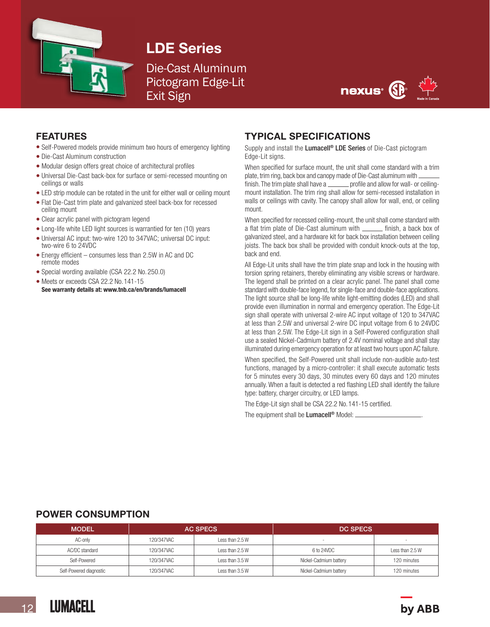

## LDE Series

### Die-Cast Aluminum Pictogram Edge-Lit Exit Sign



#### FEATURES

- Self-Powered models provide minimum two hours of emergency lighting
- Die-Cast Aluminum construction
- Modular design offers great choice of architectural profiles
- Universal Die-Cast back-box for surface or semi-recessed mounting on ceilings or walls
- LED strip module can be rotated in the unit for either wall or ceiling mount
- Flat Die-Cast trim plate and galvanized steel back-box for recessed ceiling mount
- Clear acrylic panel with pictogram legend
- Long-life white LED light sources is warrantied for ten (10) years
- Universal AC input: two-wire 120 to 347VAC; universal DC input: two-wire 6 to 24VDC
- Energy efficient consumes less than 2.5W in AC and DC remote modes
- Special wording available (CSA 22.2 No. 250.0)
- Meets or exceeds CSA 22.2 No. 141-15 See warranty details at: www.tnb.ca/en/brands/lumacell

#### TYPICAL SPECIFICATIONS

Supply and install the Lumacell<sup>®</sup> LDE Series of Die-Cast pictogram Edge-Lit signs.

When specified for surface mount, the unit shall come standard with a trim plate, trim ring, back box and canopy made of Die-Cast aluminum with finish. The trim plate shall have a <u>second</u> profile and allow for wall- or ceiling-

mount installation. The trim ring shall allow for semi-recessed installation in walls or ceilings with cavity. The canopy shall allow for wall, end, or ceiling mount.

When specified for recessed ceiling-mount, the unit shall come standard with a flat trim plate of Die-Cast aluminum with *finish*, a back box of galvanized steel, and a hardware kit for back box installation between ceiling joists. The back box shall be provided with conduit knock-outs at the top, back and end.

All Edge-Lit units shall have the trim plate snap and lock in the housing with torsion spring retainers, thereby eliminating any visible screws or hardware. The legend shall be printed on a clear acrylic panel. The panel shall come standard with double-face legend, for single-face and double-face applications. The light source shall be long-life white light-emitting diodes (LED) and shall provide even illumination in normal and emergency operation. The Edge-Lit sign shall operate with universal 2-wire AC input voltage of 120 to 347VAC at less than 2.5W and universal 2-wire DC input voltage from 6 to 24VDC at less than 2.5W. The Edge-Lit sign in a Self-Powered configuration shall use a sealed Nickel-Cadmium battery of 2.4V nominal voltage and shall stay illuminated during emergency operation for at least two hours upon AC failure.

When specified, the Self-Powered unit shall include non-audible auto-test functions, managed by a micro-controller: it shall execute automatic tests for 5 minutes every 30 days, 30 minutes every 60 days and 120 minutes annually. When a fault is detected a red flashing LED shall identify the failure type: battery, charger circuitry, or LED lamps.

The Edge-Lit sign shall be CSA 22.2 No. 141-15 certified.

The equipment shall be Lumacell<sup>®</sup> Model:

#### POWER CONSUMPTION

| <b>MODEL</b>            | <b>AC SPECS</b> |                 | <b>DC SPECS</b>        |                 |
|-------------------------|-----------------|-----------------|------------------------|-----------------|
| AC-only                 | 120/347VAC      | Less than 2.5 W |                        |                 |
| AC/DC standard          | 120/347VAC      | Less than 2.5 W | 6 to 24VDC             | Less than 2.5 W |
| Self-Powered            | 120/347VAC      | Less than 3.5 W | Nickel-Cadmium battery | 120 minutes     |
| Self-Powered diagnostic | 120/347VAC      | Less than 3.5 W | Nickel-Cadmium battery | 120 minutes     |